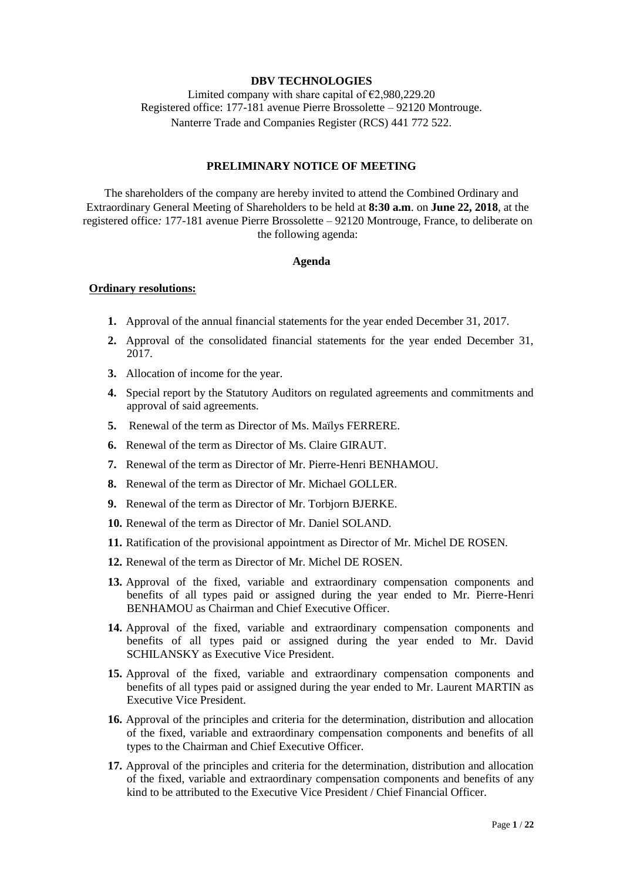#### **DBV TECHNOLOGIES**

Limited company with share capital of  $\epsilon$ 2,980,229.20 Registered office: 177-181 avenue Pierre Brossolette – 92120 Montrouge. Nanterre Trade and Companies Register (RCS) 441 772 522.

# **PRELIMINARY NOTICE OF MEETING**

The shareholders of the company are hereby invited to attend the Combined Ordinary and Extraordinary General Meeting of Shareholders to be held at **8:30 a.m**. on **June 22, 2018**, at the registered office*:* 177-181 avenue Pierre Brossolette – 92120 Montrouge, France, to deliberate on the following agenda:

#### **Agenda**

#### **Ordinary resolutions:**

- **1.** Approval of the annual financial statements for the year ended December 31, 2017.
- **2.** Approval of the consolidated financial statements for the year ended December 31, 2017.
- **3.** Allocation of income for the year.
- **4.** Special report by the Statutory Auditors on regulated agreements and commitments and approval of said agreements.
- **5.** Renewal of the term as Director of Ms. Maïlys FERRERE.
- **6.** Renewal of the term as Director of Ms. Claire GIRAUT.
- **7.** Renewal of the term as Director of Mr. Pierre-Henri BENHAMOU.
- **8.** Renewal of the term as Director of Mr. Michael GOLLER.
- **9.** Renewal of the term as Director of Mr. Torbjorn BJERKE.
- **10.** Renewal of the term as Director of Mr. Daniel SOLAND.
- **11.** Ratification of the provisional appointment as Director of Mr. Michel DE ROSEN.
- **12.** Renewal of the term as Director of Mr. Michel DE ROSEN.
- **13.** Approval of the fixed, variable and extraordinary compensation components and benefits of all types paid or assigned during the year ended to Mr. Pierre-Henri BENHAMOU as Chairman and Chief Executive Officer.
- **14.** Approval of the fixed, variable and extraordinary compensation components and benefits of all types paid or assigned during the year ended to Mr. David SCHILANSKY as Executive Vice President.
- **15.** Approval of the fixed, variable and extraordinary compensation components and benefits of all types paid or assigned during the year ended to Mr. Laurent MARTIN as Executive Vice President.
- **16.** Approval of the principles and criteria for the determination, distribution and allocation of the fixed, variable and extraordinary compensation components and benefits of all types to the Chairman and Chief Executive Officer.
- **17.** Approval of the principles and criteria for the determination, distribution and allocation of the fixed, variable and extraordinary compensation components and benefits of any kind to be attributed to the Executive Vice President / Chief Financial Officer.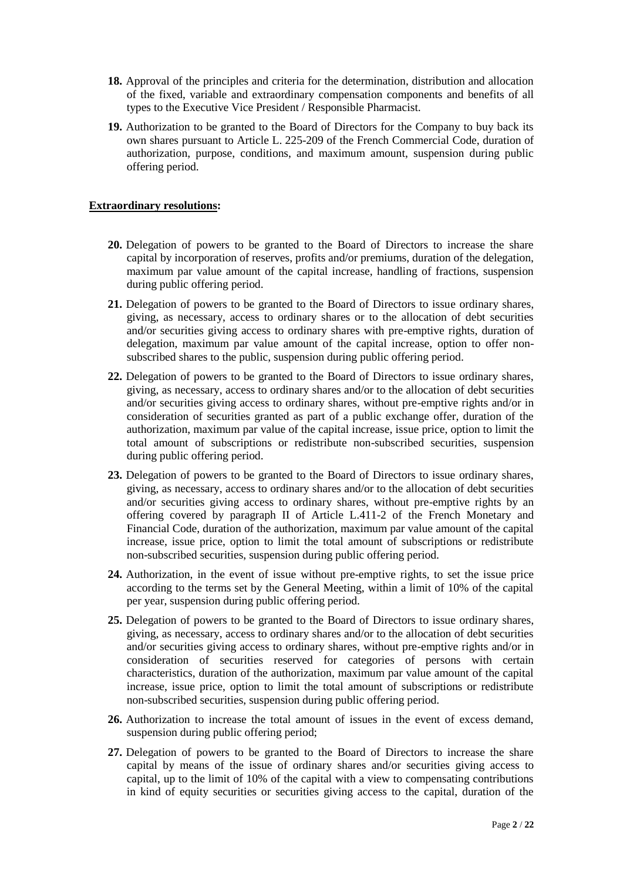- **18.** Approval of the principles and criteria for the determination, distribution and allocation of the fixed, variable and extraordinary compensation components and benefits of all types to the Executive Vice President / Responsible Pharmacist.
- **19.** Authorization to be granted to the Board of Directors for the Company to buy back its own shares pursuant to Article L. 225-209 of the French Commercial Code, duration of authorization, purpose, conditions, and maximum amount, suspension during public offering period.

## **Extraordinary resolutions:**

- **20.** Delegation of powers to be granted to the Board of Directors to increase the share capital by incorporation of reserves, profits and/or premiums, duration of the delegation, maximum par value amount of the capital increase, handling of fractions, suspension during public offering period.
- **21.** Delegation of powers to be granted to the Board of Directors to issue ordinary shares, giving, as necessary, access to ordinary shares or to the allocation of debt securities and/or securities giving access to ordinary shares with pre-emptive rights, duration of delegation, maximum par value amount of the capital increase, option to offer nonsubscribed shares to the public, suspension during public offering period.
- **22.** Delegation of powers to be granted to the Board of Directors to issue ordinary shares, giving, as necessary, access to ordinary shares and/or to the allocation of debt securities and/or securities giving access to ordinary shares, without pre-emptive rights and/or in consideration of securities granted as part of a public exchange offer, duration of the authorization, maximum par value of the capital increase, issue price, option to limit the total amount of subscriptions or redistribute non-subscribed securities, suspension during public offering period.
- **23.** Delegation of powers to be granted to the Board of Directors to issue ordinary shares, giving, as necessary, access to ordinary shares and/or to the allocation of debt securities and/or securities giving access to ordinary shares, without pre-emptive rights by an offering covered by paragraph II of Article L.411-2 of the French Monetary and Financial Code, duration of the authorization, maximum par value amount of the capital increase, issue price, option to limit the total amount of subscriptions or redistribute non-subscribed securities, suspension during public offering period.
- **24.** Authorization, in the event of issue without pre-emptive rights, to set the issue price according to the terms set by the General Meeting, within a limit of 10% of the capital per year, suspension during public offering period.
- **25.** Delegation of powers to be granted to the Board of Directors to issue ordinary shares, giving, as necessary, access to ordinary shares and/or to the allocation of debt securities and/or securities giving access to ordinary shares, without pre-emptive rights and/or in consideration of securities reserved for categories of persons with certain characteristics, duration of the authorization, maximum par value amount of the capital increase, issue price, option to limit the total amount of subscriptions or redistribute non-subscribed securities, suspension during public offering period.
- **26.** Authorization to increase the total amount of issues in the event of excess demand, suspension during public offering period;
- **27.** Delegation of powers to be granted to the Board of Directors to increase the share capital by means of the issue of ordinary shares and/or securities giving access to capital, up to the limit of 10% of the capital with a view to compensating contributions in kind of equity securities or securities giving access to the capital, duration of the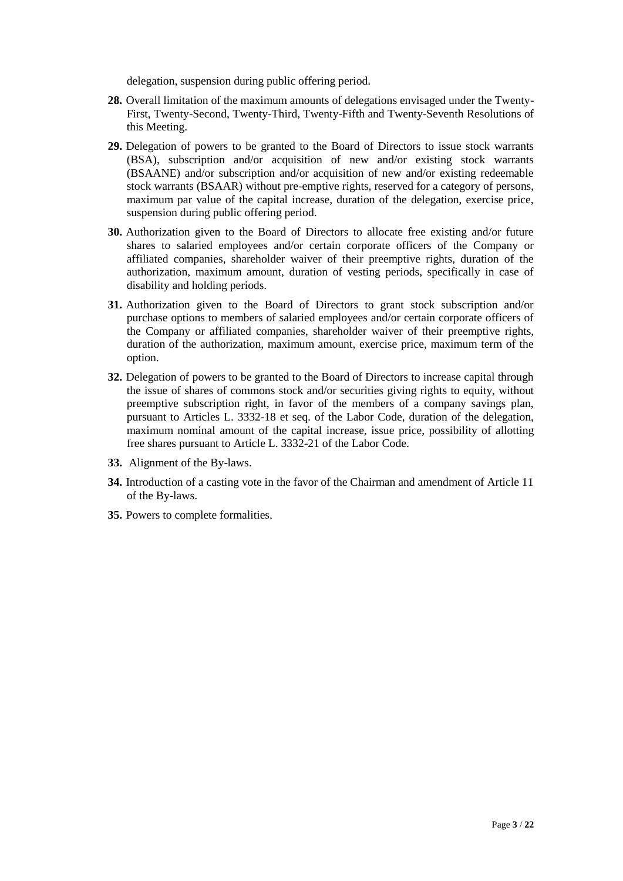delegation, suspension during public offering period.

- **28.** Overall limitation of the maximum amounts of delegations envisaged under the Twenty-First, Twenty-Second, Twenty-Third, Twenty-Fifth and Twenty-Seventh Resolutions of this Meeting.
- **29.** Delegation of powers to be granted to the Board of Directors to issue stock warrants (BSA), subscription and/or acquisition of new and/or existing stock warrants (BSAANE) and/or subscription and/or acquisition of new and/or existing redeemable stock warrants (BSAAR) without pre-emptive rights, reserved for a category of persons, maximum par value of the capital increase, duration of the delegation, exercise price, suspension during public offering period.
- **30.** Authorization given to the Board of Directors to allocate free existing and/or future shares to salaried employees and/or certain corporate officers of the Company or affiliated companies, shareholder waiver of their preemptive rights, duration of the authorization, maximum amount, duration of vesting periods, specifically in case of disability and holding periods.
- **31.** Authorization given to the Board of Directors to grant stock subscription and/or purchase options to members of salaried employees and/or certain corporate officers of the Company or affiliated companies, shareholder waiver of their preemptive rights, duration of the authorization, maximum amount, exercise price, maximum term of the option.
- **32.** Delegation of powers to be granted to the Board of Directors to increase capital through the issue of shares of commons stock and/or securities giving rights to equity, without preemptive subscription right, in favor of the members of a company savings plan, pursuant to Articles L. 3332-18 et seq. of the Labor Code, duration of the delegation, maximum nominal amount of the capital increase, issue price, possibility of allotting free shares pursuant to Article L. 3332-21 of the Labor Code.
- **33.** Alignment of the By-laws.
- **34.** Introduction of a casting vote in the favor of the Chairman and amendment of Article 11 of the By-laws.
- **35.** Powers to complete formalities.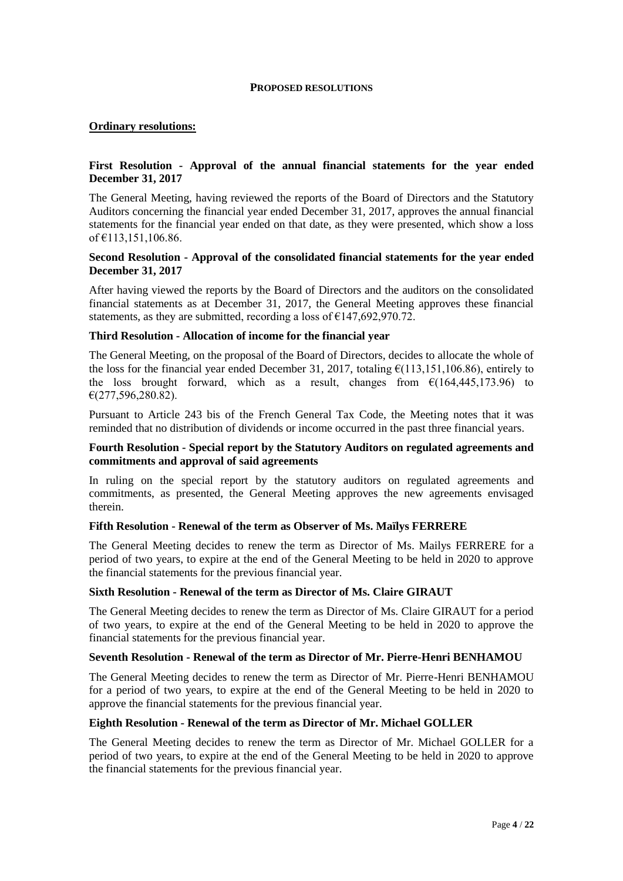#### **PROPOSED RESOLUTIONS**

### **Ordinary resolutions:**

## **First Resolution - Approval of the annual financial statements for the year ended December 31, 2017**

The General Meeting, having reviewed the reports of the Board of Directors and the Statutory Auditors concerning the financial year ended December 31, 2017, approves the annual financial statements for the financial year ended on that date, as they were presented, which show a loss of €113,151,106.86.

#### **Second Resolution - Approval of the consolidated financial statements for the year ended December 31, 2017**

After having viewed the reports by the Board of Directors and the auditors on the consolidated financial statements as at December 31, 2017, the General Meeting approves these financial statements, as they are submitted, recording a loss of  $\epsilon$ 147,692,970.72.

#### **Third Resolution - Allocation of income for the financial year**

The General Meeting, on the proposal of the Board of Directors, decides to allocate the whole of the loss for the financial year ended December 31, 2017, totaling  $\epsilon$ (113,151,106.86), entirely to the loss brought forward, which as a result, changes from  $\epsilon(164.445.173.96)$  to €(277,596,280.82).

Pursuant to Article 243 bis of the French General Tax Code, the Meeting notes that it was reminded that no distribution of dividends or income occurred in the past three financial years.

#### **Fourth Resolution - Special report by the Statutory Auditors on regulated agreements and commitments and approval of said agreements**

In ruling on the special report by the statutory auditors on regulated agreements and commitments, as presented, the General Meeting approves the new agreements envisaged therein.

### **Fifth Resolution - Renewal of the term as Observer of Ms. Maïlys FERRERE**

The General Meeting decides to renew the term as Director of Ms. Mailys FERRERE for a period of two years, to expire at the end of the General Meeting to be held in 2020 to approve the financial statements for the previous financial year.

#### **Sixth Resolution - Renewal of the term as Director of Ms. Claire GIRAUT**

The General Meeting decides to renew the term as Director of Ms. Claire GIRAUT for a period of two years, to expire at the end of the General Meeting to be held in 2020 to approve the financial statements for the previous financial year.

#### **Seventh Resolution - Renewal of the term as Director of Mr. Pierre-Henri BENHAMOU**

The General Meeting decides to renew the term as Director of Mr. Pierre-Henri BENHAMOU for a period of two years, to expire at the end of the General Meeting to be held in 2020 to approve the financial statements for the previous financial year.

#### **Eighth Resolution - Renewal of the term as Director of Mr. Michael GOLLER**

The General Meeting decides to renew the term as Director of Mr. Michael GOLLER for a period of two years, to expire at the end of the General Meeting to be held in 2020 to approve the financial statements for the previous financial year.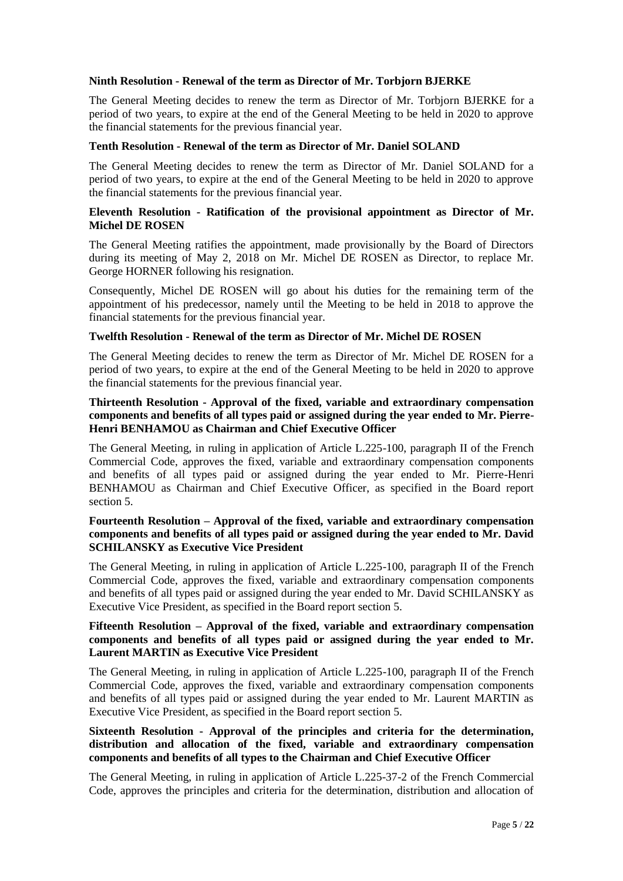### **Ninth Resolution - Renewal of the term as Director of Mr. Torbjorn BJERKE**

The General Meeting decides to renew the term as Director of Mr. Torbjorn BJERKE for a period of two years, to expire at the end of the General Meeting to be held in 2020 to approve the financial statements for the previous financial year.

#### **Tenth Resolution - Renewal of the term as Director of Mr. Daniel SOLAND**

The General Meeting decides to renew the term as Director of Mr. Daniel SOLAND for a period of two years, to expire at the end of the General Meeting to be held in 2020 to approve the financial statements for the previous financial year.

#### **Eleventh Resolution - Ratification of the provisional appointment as Director of Mr. Michel DE ROSEN**

The General Meeting ratifies the appointment, made provisionally by the Board of Directors during its meeting of May 2, 2018 on Mr. Michel DE ROSEN as Director, to replace Mr. George HORNER following his resignation.

Consequently, Michel DE ROSEN will go about his duties for the remaining term of the appointment of his predecessor, namely until the Meeting to be held in 2018 to approve the financial statements for the previous financial year.

#### **Twelfth Resolution - Renewal of the term as Director of Mr. Michel DE ROSEN**

The General Meeting decides to renew the term as Director of Mr. Michel DE ROSEN for a period of two years, to expire at the end of the General Meeting to be held in 2020 to approve the financial statements for the previous financial year.

## **Thirteenth Resolution - Approval of the fixed, variable and extraordinary compensation components and benefits of all types paid or assigned during the year ended to Mr. Pierre-Henri BENHAMOU as Chairman and Chief Executive Officer**

The General Meeting, in ruling in application of Article L.225-100, paragraph II of the French Commercial Code, approves the fixed, variable and extraordinary compensation components and benefits of all types paid or assigned during the year ended to Mr. Pierre-Henri BENHAMOU as Chairman and Chief Executive Officer, as specified in the Board report section 5.

#### **Fourteenth Resolution – Approval of the fixed, variable and extraordinary compensation components and benefits of all types paid or assigned during the year ended to Mr. David SCHILANSKY as Executive Vice President**

The General Meeting, in ruling in application of Article L.225-100, paragraph II of the French Commercial Code, approves the fixed, variable and extraordinary compensation components and benefits of all types paid or assigned during the year ended to Mr. David SCHILANSKY as Executive Vice President, as specified in the Board report section 5.

## **Fifteenth Resolution – Approval of the fixed, variable and extraordinary compensation components and benefits of all types paid or assigned during the year ended to Mr. Laurent MARTIN as Executive Vice President**

The General Meeting, in ruling in application of Article L.225-100, paragraph II of the French Commercial Code, approves the fixed, variable and extraordinary compensation components and benefits of all types paid or assigned during the year ended to Mr. Laurent MARTIN as Executive Vice President, as specified in the Board report section 5.

## **Sixteenth Resolution - Approval of the principles and criteria for the determination, distribution and allocation of the fixed, variable and extraordinary compensation components and benefits of all types to the Chairman and Chief Executive Officer**

The General Meeting, in ruling in application of Article L.225-37-2 of the French Commercial Code, approves the principles and criteria for the determination, distribution and allocation of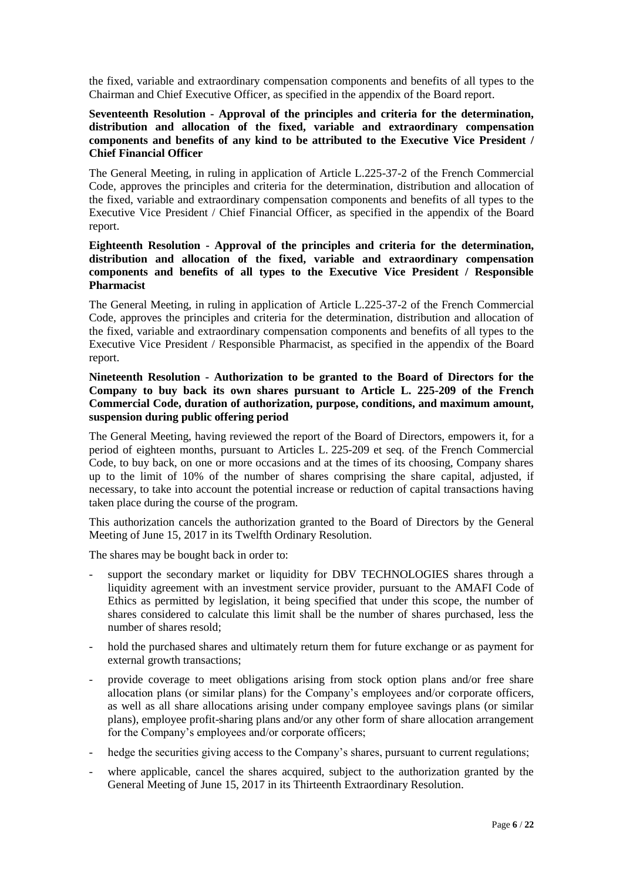the fixed, variable and extraordinary compensation components and benefits of all types to the Chairman and Chief Executive Officer, as specified in the appendix of the Board report.

### **Seventeenth Resolution - Approval of the principles and criteria for the determination, distribution and allocation of the fixed, variable and extraordinary compensation components and benefits of any kind to be attributed to the Executive Vice President / Chief Financial Officer**

The General Meeting, in ruling in application of Article L.225-37-2 of the French Commercial Code, approves the principles and criteria for the determination, distribution and allocation of the fixed, variable and extraordinary compensation components and benefits of all types to the Executive Vice President / Chief Financial Officer, as specified in the appendix of the Board report.

## **Eighteenth Resolution - Approval of the principles and criteria for the determination, distribution and allocation of the fixed, variable and extraordinary compensation components and benefits of all types to the Executive Vice President / Responsible Pharmacist**

The General Meeting, in ruling in application of Article L.225-37-2 of the French Commercial Code, approves the principles and criteria for the determination, distribution and allocation of the fixed, variable and extraordinary compensation components and benefits of all types to the Executive Vice President / Responsible Pharmacist, as specified in the appendix of the Board report.

## **Nineteenth Resolution - Authorization to be granted to the Board of Directors for the Company to buy back its own shares pursuant to Article L. 225-209 of the French Commercial Code, duration of authorization, purpose, conditions, and maximum amount, suspension during public offering period**

The General Meeting, having reviewed the report of the Board of Directors, empowers it, for a period of eighteen months, pursuant to Articles L. 225-209 et seq. of the French Commercial Code, to buy back, on one or more occasions and at the times of its choosing, Company shares up to the limit of 10% of the number of shares comprising the share capital, adjusted, if necessary, to take into account the potential increase or reduction of capital transactions having taken place during the course of the program.

This authorization cancels the authorization granted to the Board of Directors by the General Meeting of June 15, 2017 in its Twelfth Ordinary Resolution.

The shares may be bought back in order to:

- support the secondary market or liquidity for DBV TECHNOLOGIES shares through a liquidity agreement with an investment service provider, pursuant to the AMAFI Code of Ethics as permitted by legislation, it being specified that under this scope, the number of shares considered to calculate this limit shall be the number of shares purchased, less the number of shares resold;
- hold the purchased shares and ultimately return them for future exchange or as payment for external growth transactions;
- provide coverage to meet obligations arising from stock option plans and/or free share allocation plans (or similar plans) for the Company's employees and/or corporate officers, as well as all share allocations arising under company employee savings plans (or similar plans), employee profit-sharing plans and/or any other form of share allocation arrangement for the Company's employees and/or corporate officers;
- hedge the securities giving access to the Company's shares, pursuant to current regulations;
- where applicable, cancel the shares acquired, subject to the authorization granted by the General Meeting of June 15, 2017 in its Thirteenth Extraordinary Resolution.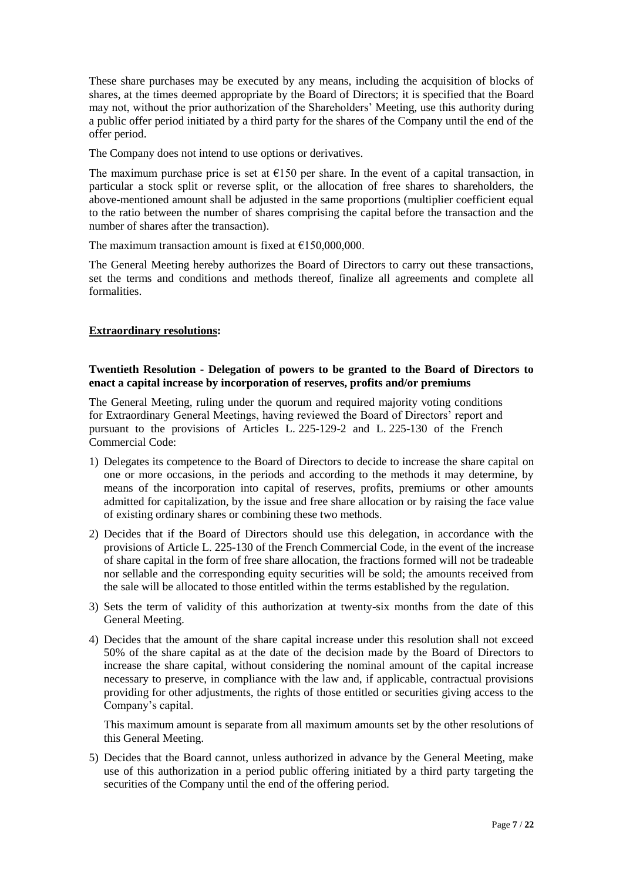These share purchases may be executed by any means, including the acquisition of blocks of shares, at the times deemed appropriate by the Board of Directors; it is specified that the Board may not, without the prior authorization of the Shareholders' Meeting, use this authority during a public offer period initiated by a third party for the shares of the Company until the end of the offer period.

The Company does not intend to use options or derivatives.

The maximum purchase price is set at  $E$ 150 per share. In the event of a capital transaction, in particular a stock split or reverse split, or the allocation of free shares to shareholders, the above-mentioned amount shall be adjusted in the same proportions (multiplier coefficient equal to the ratio between the number of shares comprising the capital before the transaction and the number of shares after the transaction).

The maximum transaction amount is fixed at  $£150,000,000$ .

The General Meeting hereby authorizes the Board of Directors to carry out these transactions, set the terms and conditions and methods thereof, finalize all agreements and complete all formalities.

## **Extraordinary resolutions:**

## **Twentieth Resolution - Delegation of powers to be granted to the Board of Directors to enact a capital increase by incorporation of reserves, profits and/or premiums**

The General Meeting, ruling under the quorum and required majority voting conditions for Extraordinary General Meetings, having reviewed the Board of Directors' report and pursuant to the provisions of Articles L. 225-129-2 and L. 225-130 of the French Commercial Code:

- 1) Delegates its competence to the Board of Directors to decide to increase the share capital on one or more occasions, in the periods and according to the methods it may determine, by means of the incorporation into capital of reserves, profits, premiums or other amounts admitted for capitalization, by the issue and free share allocation or by raising the face value of existing ordinary shares or combining these two methods.
- 2) Decides that if the Board of Directors should use this delegation, in accordance with the provisions of Article L. 225-130 of the French Commercial Code, in the event of the increase of share capital in the form of free share allocation, the fractions formed will not be tradeable nor sellable and the corresponding equity securities will be sold; the amounts received from the sale will be allocated to those entitled within the terms established by the regulation.
- 3) Sets the term of validity of this authorization at twenty-six months from the date of this General Meeting.
- 4) Decides that the amount of the share capital increase under this resolution shall not exceed 50% of the share capital as at the date of the decision made by the Board of Directors to increase the share capital, without considering the nominal amount of the capital increase necessary to preserve, in compliance with the law and, if applicable, contractual provisions providing for other adjustments, the rights of those entitled or securities giving access to the Company's capital.

This maximum amount is separate from all maximum amounts set by the other resolutions of this General Meeting.

5) Decides that the Board cannot, unless authorized in advance by the General Meeting, make use of this authorization in a period public offering initiated by a third party targeting the securities of the Company until the end of the offering period.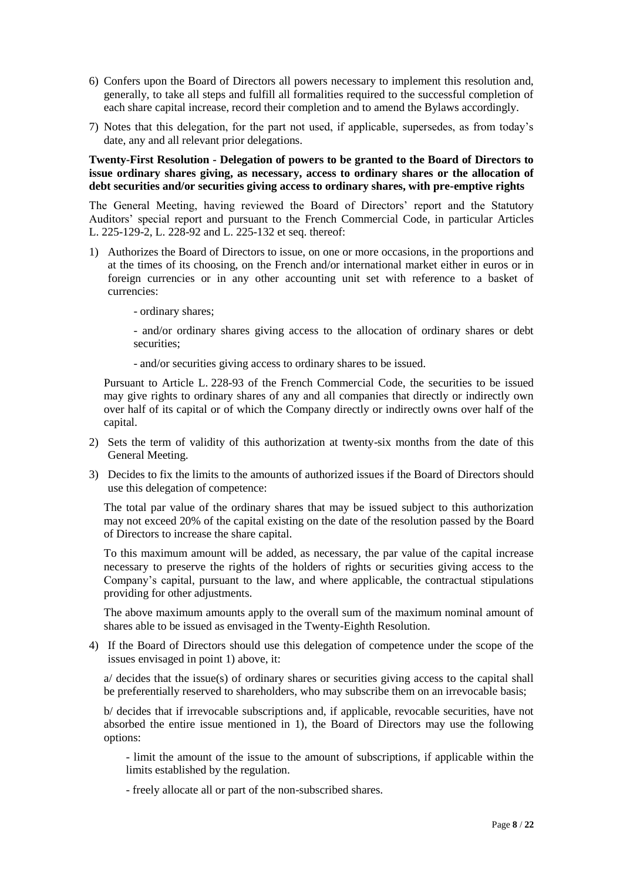- 6) Confers upon the Board of Directors all powers necessary to implement this resolution and, generally, to take all steps and fulfill all formalities required to the successful completion of each share capital increase, record their completion and to amend the Bylaws accordingly.
- 7) Notes that this delegation, for the part not used, if applicable, supersedes, as from today's date, any and all relevant prior delegations.

#### **Twenty-First Resolution - Delegation of powers to be granted to the Board of Directors to issue ordinary shares giving, as necessary, access to ordinary shares or the allocation of debt securities and/or securities giving access to ordinary shares, with pre-emptive rights**

The General Meeting, having reviewed the Board of Directors' report and the Statutory Auditors' special report and pursuant to the French Commercial Code, in particular Articles L. 225-129-2, L. 228-92 and L. 225-132 et seq. thereof:

1) Authorizes the Board of Directors to issue, on one or more occasions, in the proportions and at the times of its choosing, on the French and/or international market either in euros or in foreign currencies or in any other accounting unit set with reference to a basket of currencies:

- ordinary shares;

- and/or ordinary shares giving access to the allocation of ordinary shares or debt securities;

- and/or securities giving access to ordinary shares to be issued.

Pursuant to Article L. 228-93 of the French Commercial Code, the securities to be issued may give rights to ordinary shares of any and all companies that directly or indirectly own over half of its capital or of which the Company directly or indirectly owns over half of the capital.

- 2) Sets the term of validity of this authorization at twenty-six months from the date of this General Meeting.
- 3) Decides to fix the limits to the amounts of authorized issues if the Board of Directors should use this delegation of competence:

The total par value of the ordinary shares that may be issued subject to this authorization may not exceed 20% of the capital existing on the date of the resolution passed by the Board of Directors to increase the share capital.

To this maximum amount will be added, as necessary, the par value of the capital increase necessary to preserve the rights of the holders of rights or securities giving access to the Company's capital, pursuant to the law, and where applicable, the contractual stipulations providing for other adjustments.

The above maximum amounts apply to the overall sum of the maximum nominal amount of shares able to be issued as envisaged in the Twenty-Eighth Resolution.

4) If the Board of Directors should use this delegation of competence under the scope of the issues envisaged in point 1) above, it:

a/ decides that the issue(s) of ordinary shares or securities giving access to the capital shall be preferentially reserved to shareholders, who may subscribe them on an irrevocable basis;

b/ decides that if irrevocable subscriptions and, if applicable, revocable securities, have not absorbed the entire issue mentioned in 1), the Board of Directors may use the following options:

- limit the amount of the issue to the amount of subscriptions, if applicable within the limits established by the regulation.

- freely allocate all or part of the non-subscribed shares.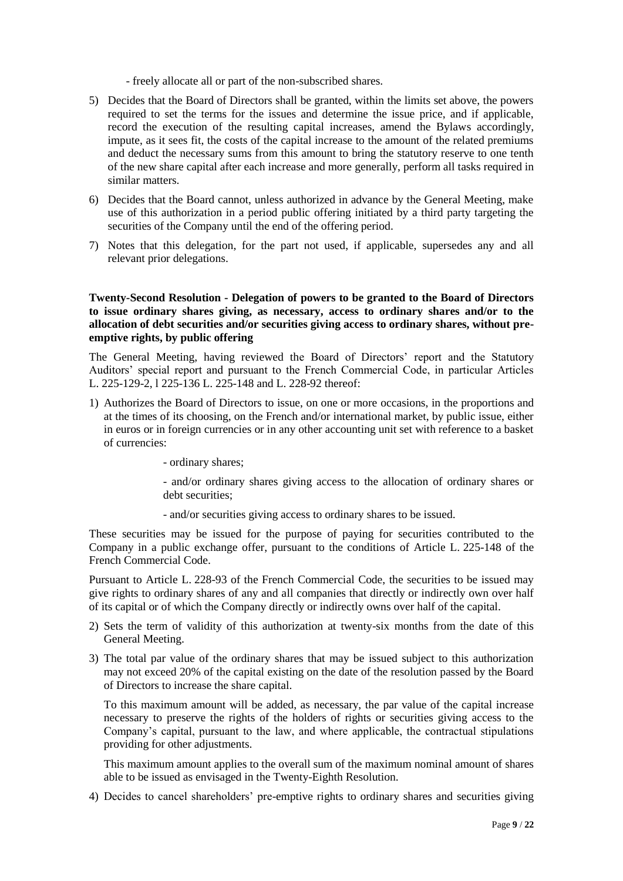- freely allocate all or part of the non-subscribed shares.
- 5) Decides that the Board of Directors shall be granted, within the limits set above, the powers required to set the terms for the issues and determine the issue price, and if applicable, record the execution of the resulting capital increases, amend the Bylaws accordingly, impute, as it sees fit, the costs of the capital increase to the amount of the related premiums and deduct the necessary sums from this amount to bring the statutory reserve to one tenth of the new share capital after each increase and more generally, perform all tasks required in similar matters.
- 6) Decides that the Board cannot, unless authorized in advance by the General Meeting, make use of this authorization in a period public offering initiated by a third party targeting the securities of the Company until the end of the offering period.
- 7) Notes that this delegation, for the part not used, if applicable, supersedes any and all relevant prior delegations.

### **Twenty-Second Resolution - Delegation of powers to be granted to the Board of Directors to issue ordinary shares giving, as necessary, access to ordinary shares and/or to the allocation of debt securities and/or securities giving access to ordinary shares, without preemptive rights, by public offering**

The General Meeting, having reviewed the Board of Directors' report and the Statutory Auditors' special report and pursuant to the French Commercial Code, in particular Articles L. 225-129-2, l 225-136 L. 225-148 and L. 228-92 thereof:

1) Authorizes the Board of Directors to issue, on one or more occasions, in the proportions and at the times of its choosing, on the French and/or international market, by public issue, either in euros or in foreign currencies or in any other accounting unit set with reference to a basket of currencies:

- ordinary shares;

- and/or ordinary shares giving access to the allocation of ordinary shares or debt securities;

- and/or securities giving access to ordinary shares to be issued.

These securities may be issued for the purpose of paying for securities contributed to the Company in a public exchange offer, pursuant to the conditions of Article L. 225-148 of the French Commercial Code.

Pursuant to Article L. 228-93 of the French Commercial Code, the securities to be issued may give rights to ordinary shares of any and all companies that directly or indirectly own over half of its capital or of which the Company directly or indirectly owns over half of the capital.

- 2) Sets the term of validity of this authorization at twenty-six months from the date of this General Meeting.
- 3) The total par value of the ordinary shares that may be issued subject to this authorization may not exceed 20% of the capital existing on the date of the resolution passed by the Board of Directors to increase the share capital.

To this maximum amount will be added, as necessary, the par value of the capital increase necessary to preserve the rights of the holders of rights or securities giving access to the Company's capital, pursuant to the law, and where applicable, the contractual stipulations providing for other adjustments.

This maximum amount applies to the overall sum of the maximum nominal amount of shares able to be issued as envisaged in the Twenty-Eighth Resolution.

4) Decides to cancel shareholders' pre-emptive rights to ordinary shares and securities giving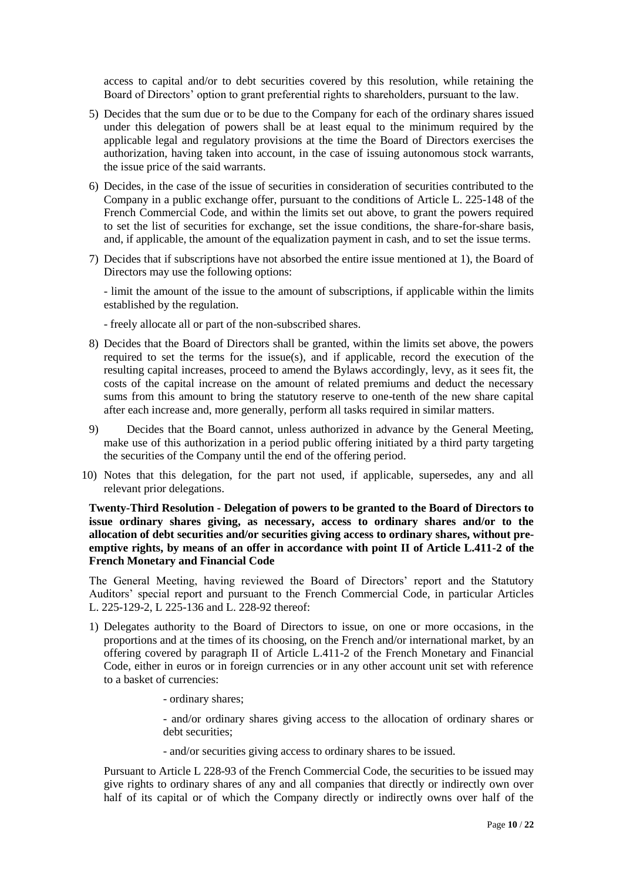access to capital and/or to debt securities covered by this resolution, while retaining the Board of Directors' option to grant preferential rights to shareholders, pursuant to the law.

- 5) Decides that the sum due or to be due to the Company for each of the ordinary shares issued under this delegation of powers shall be at least equal to the minimum required by the applicable legal and regulatory provisions at the time the Board of Directors exercises the authorization, having taken into account, in the case of issuing autonomous stock warrants, the issue price of the said warrants.
- 6) Decides, in the case of the issue of securities in consideration of securities contributed to the Company in a public exchange offer, pursuant to the conditions of Article L. 225-148 of the French Commercial Code, and within the limits set out above, to grant the powers required to set the list of securities for exchange, set the issue conditions, the share-for-share basis, and, if applicable, the amount of the equalization payment in cash, and to set the issue terms.
- 7) Decides that if subscriptions have not absorbed the entire issue mentioned at 1), the Board of Directors may use the following options:

- limit the amount of the issue to the amount of subscriptions, if applicable within the limits established by the regulation.

- freely allocate all or part of the non-subscribed shares.
- 8) Decides that the Board of Directors shall be granted, within the limits set above, the powers required to set the terms for the issue(s), and if applicable, record the execution of the resulting capital increases, proceed to amend the Bylaws accordingly, levy, as it sees fit, the costs of the capital increase on the amount of related premiums and deduct the necessary sums from this amount to bring the statutory reserve to one-tenth of the new share capital after each increase and, more generally, perform all tasks required in similar matters.
- 9) Decides that the Board cannot, unless authorized in advance by the General Meeting, make use of this authorization in a period public offering initiated by a third party targeting the securities of the Company until the end of the offering period.
- 10) Notes that this delegation, for the part not used, if applicable, supersedes, any and all relevant prior delegations.

**Twenty-Third Resolution - Delegation of powers to be granted to the Board of Directors to issue ordinary shares giving, as necessary, access to ordinary shares and/or to the allocation of debt securities and/or securities giving access to ordinary shares, without preemptive rights, by means of an offer in accordance with point II of Article L.411-2 of the French Monetary and Financial Code**

The General Meeting, having reviewed the Board of Directors' report and the Statutory Auditors' special report and pursuant to the French Commercial Code, in particular Articles L. 225-129-2, L 225-136 and L. 228-92 thereof:

- 1) Delegates authority to the Board of Directors to issue, on one or more occasions, in the proportions and at the times of its choosing, on the French and/or international market, by an offering covered by paragraph II of Article L.411-2 of the French Monetary and Financial Code, either in euros or in foreign currencies or in any other account unit set with reference to a basket of currencies:
	- ordinary shares;

- and/or ordinary shares giving access to the allocation of ordinary shares or debt securities:

- and/or securities giving access to ordinary shares to be issued.

Pursuant to Article L 228-93 of the French Commercial Code, the securities to be issued may give rights to ordinary shares of any and all companies that directly or indirectly own over half of its capital or of which the Company directly or indirectly owns over half of the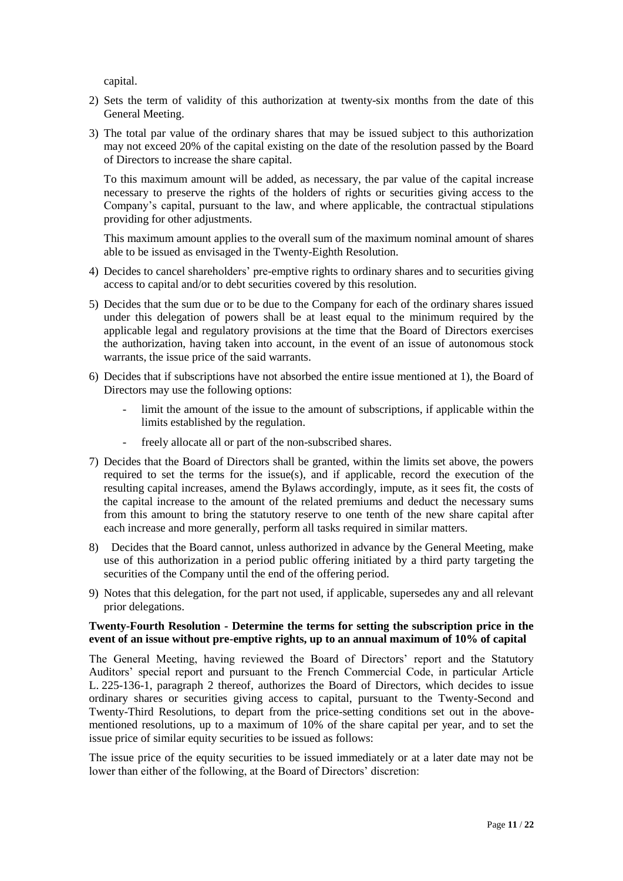capital.

- 2) Sets the term of validity of this authorization at twenty-six months from the date of this General Meeting.
- 3) The total par value of the ordinary shares that may be issued subject to this authorization may not exceed 20% of the capital existing on the date of the resolution passed by the Board of Directors to increase the share capital.

To this maximum amount will be added, as necessary, the par value of the capital increase necessary to preserve the rights of the holders of rights or securities giving access to the Company's capital, pursuant to the law, and where applicable, the contractual stipulations providing for other adjustments.

This maximum amount applies to the overall sum of the maximum nominal amount of shares able to be issued as envisaged in the Twenty-Eighth Resolution.

- 4) Decides to cancel shareholders' pre-emptive rights to ordinary shares and to securities giving access to capital and/or to debt securities covered by this resolution.
- 5) Decides that the sum due or to be due to the Company for each of the ordinary shares issued under this delegation of powers shall be at least equal to the minimum required by the applicable legal and regulatory provisions at the time that the Board of Directors exercises the authorization, having taken into account, in the event of an issue of autonomous stock warrants, the issue price of the said warrants.
- 6) Decides that if subscriptions have not absorbed the entire issue mentioned at 1), the Board of Directors may use the following options:
	- limit the amount of the issue to the amount of subscriptions, if applicable within the limits established by the regulation.
	- freely allocate all or part of the non-subscribed shares.
- 7) Decides that the Board of Directors shall be granted, within the limits set above, the powers required to set the terms for the issue(s), and if applicable, record the execution of the resulting capital increases, amend the Bylaws accordingly, impute, as it sees fit, the costs of the capital increase to the amount of the related premiums and deduct the necessary sums from this amount to bring the statutory reserve to one tenth of the new share capital after each increase and more generally, perform all tasks required in similar matters.
- 8) Decides that the Board cannot, unless authorized in advance by the General Meeting, make use of this authorization in a period public offering initiated by a third party targeting the securities of the Company until the end of the offering period.
- 9) Notes that this delegation, for the part not used, if applicable, supersedes any and all relevant prior delegations.

### **Twenty-Fourth Resolution - Determine the terms for setting the subscription price in the event of an issue without pre-emptive rights, up to an annual maximum of 10% of capital**

The General Meeting, having reviewed the Board of Directors' report and the Statutory Auditors' special report and pursuant to the French Commercial Code, in particular Article L. 225-136-1, paragraph 2 thereof, authorizes the Board of Directors, which decides to issue ordinary shares or securities giving access to capital, pursuant to the Twenty-Second and Twenty-Third Resolutions, to depart from the price-setting conditions set out in the abovementioned resolutions, up to a maximum of 10% of the share capital per year, and to set the issue price of similar equity securities to be issued as follows:

The issue price of the equity securities to be issued immediately or at a later date may not be lower than either of the following, at the Board of Directors' discretion: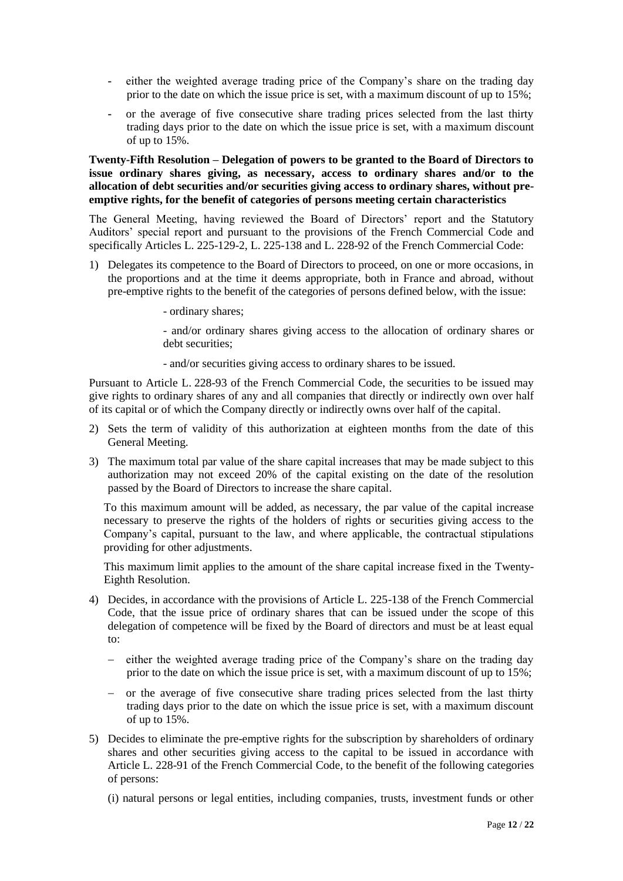- either the weighted average trading price of the Company's share on the trading day prior to the date on which the issue price is set, with a maximum discount of up to 15%;
- **-** or the average of five consecutive share trading prices selected from the last thirty trading days prior to the date on which the issue price is set, with a maximum discount of up to 15%.

#### **Twenty-Fifth Resolution – Delegation of powers to be granted to the Board of Directors to issue ordinary shares giving, as necessary, access to ordinary shares and/or to the allocation of debt securities and/or securities giving access to ordinary shares, without preemptive rights, for the benefit of categories of persons meeting certain characteristics**

The General Meeting, having reviewed the Board of Directors' report and the Statutory Auditors' special report and pursuant to the provisions of the French Commercial Code and specifically Articles L. 225-129-2, L. 225-138 and L. 228-92 of the French Commercial Code:

- 1) Delegates its competence to the Board of Directors to proceed, on one or more occasions, in the proportions and at the time it deems appropriate, both in France and abroad, without pre-emptive rights to the benefit of the categories of persons defined below, with the issue:
	- ordinary shares;

- and/or ordinary shares giving access to the allocation of ordinary shares or debt securities:

- and/or securities giving access to ordinary shares to be issued.

Pursuant to Article L. 228-93 of the French Commercial Code, the securities to be issued may give rights to ordinary shares of any and all companies that directly or indirectly own over half of its capital or of which the Company directly or indirectly owns over half of the capital.

- 2) Sets the term of validity of this authorization at eighteen months from the date of this General Meeting.
- 3) The maximum total par value of the share capital increases that may be made subject to this authorization may not exceed 20% of the capital existing on the date of the resolution passed by the Board of Directors to increase the share capital.

To this maximum amount will be added, as necessary, the par value of the capital increase necessary to preserve the rights of the holders of rights or securities giving access to the Company's capital, pursuant to the law, and where applicable, the contractual stipulations providing for other adjustments.

This maximum limit applies to the amount of the share capital increase fixed in the Twenty-Eighth Resolution.

- 4) Decides, in accordance with the provisions of Article L. 225-138 of the French Commercial Code, that the issue price of ordinary shares that can be issued under the scope of this delegation of competence will be fixed by the Board of directors and must be at least equal to:
	- either the weighted average trading price of the Company's share on the trading day prior to the date on which the issue price is set, with a maximum discount of up to 15%;
	- or the average of five consecutive share trading prices selected from the last thirty trading days prior to the date on which the issue price is set, with a maximum discount of up to 15%.
- 5) Decides to eliminate the pre-emptive rights for the subscription by shareholders of ordinary shares and other securities giving access to the capital to be issued in accordance with Article L. 228-91 of the French Commercial Code, to the benefit of the following categories of persons:
	- (i) natural persons or legal entities, including companies, trusts, investment funds or other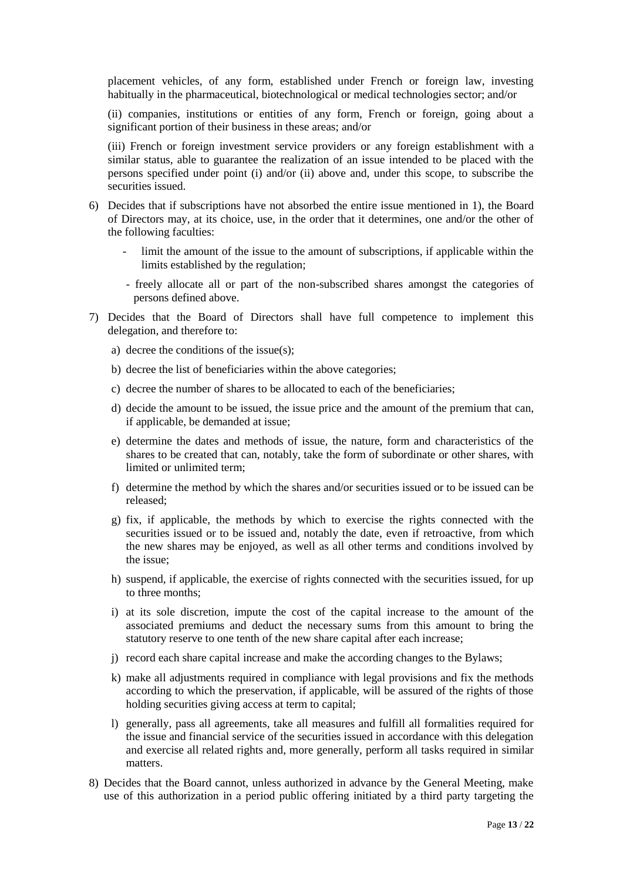placement vehicles, of any form, established under French or foreign law, investing habitually in the pharmaceutical, biotechnological or medical technologies sector; and/or

(ii) companies, institutions or entities of any form, French or foreign, going about a significant portion of their business in these areas; and/or

(iii) French or foreign investment service providers or any foreign establishment with a similar status, able to guarantee the realization of an issue intended to be placed with the persons specified under point (i) and/or (ii) above and, under this scope, to subscribe the securities issued.

- 6) Decides that if subscriptions have not absorbed the entire issue mentioned in 1), the Board of Directors may, at its choice, use, in the order that it determines, one and/or the other of the following faculties:
	- limit the amount of the issue to the amount of subscriptions, if applicable within the limits established by the regulation;
	- freely allocate all or part of the non-subscribed shares amongst the categories of persons defined above.
- 7) Decides that the Board of Directors shall have full competence to implement this delegation, and therefore to:
	- a) decree the conditions of the issue(s);
	- b) decree the list of beneficiaries within the above categories;
	- c) decree the number of shares to be allocated to each of the beneficiaries;
	- d) decide the amount to be issued, the issue price and the amount of the premium that can, if applicable, be demanded at issue;
	- e) determine the dates and methods of issue, the nature, form and characteristics of the shares to be created that can, notably, take the form of subordinate or other shares, with limited or unlimited term;
	- f) determine the method by which the shares and/or securities issued or to be issued can be released;
	- g) fix, if applicable, the methods by which to exercise the rights connected with the securities issued or to be issued and, notably the date, even if retroactive, from which the new shares may be enjoyed, as well as all other terms and conditions involved by the issue;
	- h) suspend, if applicable, the exercise of rights connected with the securities issued, for up to three months;
	- i) at its sole discretion, impute the cost of the capital increase to the amount of the associated premiums and deduct the necessary sums from this amount to bring the statutory reserve to one tenth of the new share capital after each increase;
	- j) record each share capital increase and make the according changes to the Bylaws;
	- k) make all adjustments required in compliance with legal provisions and fix the methods according to which the preservation, if applicable, will be assured of the rights of those holding securities giving access at term to capital;
	- l) generally, pass all agreements, take all measures and fulfill all formalities required for the issue and financial service of the securities issued in accordance with this delegation and exercise all related rights and, more generally, perform all tasks required in similar matters.
- 8) Decides that the Board cannot, unless authorized in advance by the General Meeting, make use of this authorization in a period public offering initiated by a third party targeting the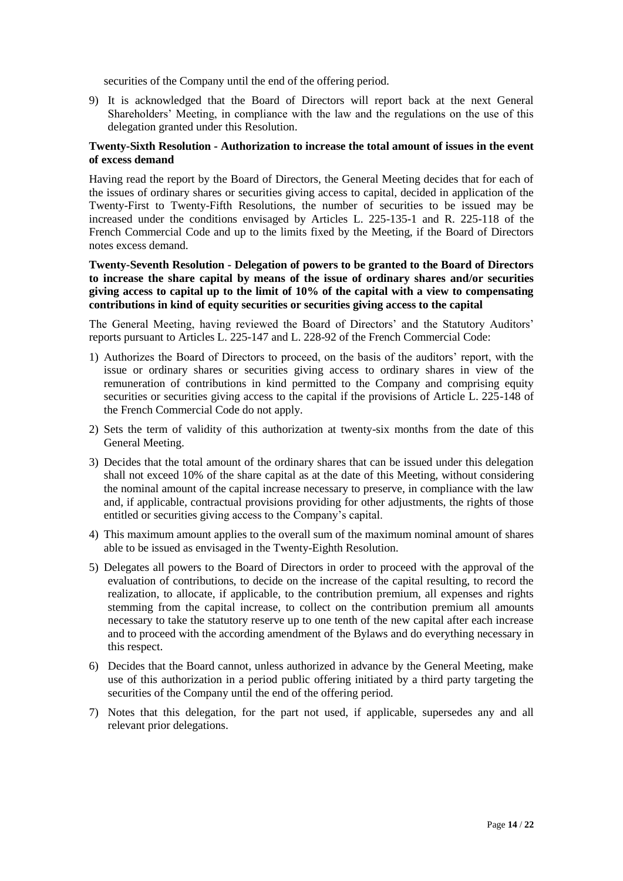securities of the Company until the end of the offering period.

9) It is acknowledged that the Board of Directors will report back at the next General Shareholders' Meeting, in compliance with the law and the regulations on the use of this delegation granted under this Resolution.

## **Twenty-Sixth Resolution - Authorization to increase the total amount of issues in the event of excess demand**

Having read the report by the Board of Directors, the General Meeting decides that for each of the issues of ordinary shares or securities giving access to capital, decided in application of the Twenty-First to Twenty-Fifth Resolutions, the number of securities to be issued may be increased under the conditions envisaged by Articles L. 225-135-1 and R. 225-118 of the French Commercial Code and up to the limits fixed by the Meeting, if the Board of Directors notes excess demand.

**Twenty-Seventh Resolution - Delegation of powers to be granted to the Board of Directors to increase the share capital by means of the issue of ordinary shares and/or securities giving access to capital up to the limit of 10% of the capital with a view to compensating contributions in kind of equity securities or securities giving access to the capital**

The General Meeting, having reviewed the Board of Directors' and the Statutory Auditors' reports pursuant to Articles L. 225-147 and L. 228-92 of the French Commercial Code:

- 1) Authorizes the Board of Directors to proceed, on the basis of the auditors' report, with the issue or ordinary shares or securities giving access to ordinary shares in view of the remuneration of contributions in kind permitted to the Company and comprising equity securities or securities giving access to the capital if the provisions of Article L. 225-148 of the French Commercial Code do not apply.
- 2) Sets the term of validity of this authorization at twenty-six months from the date of this General Meeting.
- 3) Decides that the total amount of the ordinary shares that can be issued under this delegation shall not exceed 10% of the share capital as at the date of this Meeting, without considering the nominal amount of the capital increase necessary to preserve, in compliance with the law and, if applicable, contractual provisions providing for other adjustments, the rights of those entitled or securities giving access to the Company's capital.
- 4) This maximum amount applies to the overall sum of the maximum nominal amount of shares able to be issued as envisaged in the Twenty-Eighth Resolution.
- 5) Delegates all powers to the Board of Directors in order to proceed with the approval of the evaluation of contributions, to decide on the increase of the capital resulting, to record the realization, to allocate, if applicable, to the contribution premium, all expenses and rights stemming from the capital increase, to collect on the contribution premium all amounts necessary to take the statutory reserve up to one tenth of the new capital after each increase and to proceed with the according amendment of the Bylaws and do everything necessary in this respect.
- 6) Decides that the Board cannot, unless authorized in advance by the General Meeting, make use of this authorization in a period public offering initiated by a third party targeting the securities of the Company until the end of the offering period.
- 7) Notes that this delegation, for the part not used, if applicable, supersedes any and all relevant prior delegations.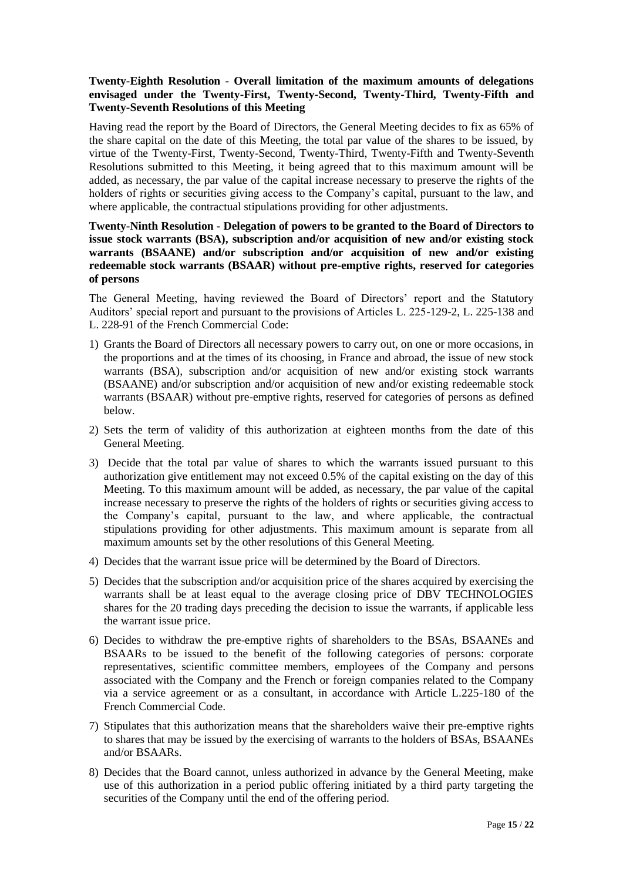## **Twenty-Eighth Resolution - Overall limitation of the maximum amounts of delegations envisaged under the Twenty-First, Twenty-Second, Twenty-Third, Twenty-Fifth and Twenty-Seventh Resolutions of this Meeting**

Having read the report by the Board of Directors, the General Meeting decides to fix as 65% of the share capital on the date of this Meeting, the total par value of the shares to be issued, by virtue of the Twenty-First, Twenty-Second, Twenty-Third, Twenty-Fifth and Twenty-Seventh Resolutions submitted to this Meeting, it being agreed that to this maximum amount will be added, as necessary, the par value of the capital increase necessary to preserve the rights of the holders of rights or securities giving access to the Company's capital, pursuant to the law, and where applicable, the contractual stipulations providing for other adjustments.

## **Twenty-Ninth Resolution - Delegation of powers to be granted to the Board of Directors to issue stock warrants (BSA), subscription and/or acquisition of new and/or existing stock warrants (BSAANE) and/or subscription and/or acquisition of new and/or existing redeemable stock warrants (BSAAR) without pre-emptive rights, reserved for categories of persons**

The General Meeting, having reviewed the Board of Directors' report and the Statutory Auditors' special report and pursuant to the provisions of Articles L. 225-129-2, L. 225-138 and L. 228-91 of the French Commercial Code:

- 1) Grants the Board of Directors all necessary powers to carry out, on one or more occasions, in the proportions and at the times of its choosing, in France and abroad, the issue of new stock warrants (BSA), subscription and/or acquisition of new and/or existing stock warrants (BSAANE) and/or subscription and/or acquisition of new and/or existing redeemable stock warrants (BSAAR) without pre-emptive rights, reserved for categories of persons as defined below.
- 2) Sets the term of validity of this authorization at eighteen months from the date of this General Meeting.
- 3) Decide that the total par value of shares to which the warrants issued pursuant to this authorization give entitlement may not exceed 0.5% of the capital existing on the day of this Meeting. To this maximum amount will be added, as necessary, the par value of the capital increase necessary to preserve the rights of the holders of rights or securities giving access to the Company's capital, pursuant to the law, and where applicable, the contractual stipulations providing for other adjustments. This maximum amount is separate from all maximum amounts set by the other resolutions of this General Meeting.
- 4) Decides that the warrant issue price will be determined by the Board of Directors.
- 5) Decides that the subscription and/or acquisition price of the shares acquired by exercising the warrants shall be at least equal to the average closing price of DBV TECHNOLOGIES shares for the 20 trading days preceding the decision to issue the warrants, if applicable less the warrant issue price.
- 6) Decides to withdraw the pre-emptive rights of shareholders to the BSAs, BSAANEs and BSAARs to be issued to the benefit of the following categories of persons: corporate representatives, scientific committee members, employees of the Company and persons associated with the Company and the French or foreign companies related to the Company via a service agreement or as a consultant, in accordance with Article L.225-180 of the French Commercial Code.
- 7) Stipulates that this authorization means that the shareholders waive their pre-emptive rights to shares that may be issued by the exercising of warrants to the holders of BSAs, BSAANEs and/or BSAARs.
- 8) Decides that the Board cannot, unless authorized in advance by the General Meeting, make use of this authorization in a period public offering initiated by a third party targeting the securities of the Company until the end of the offering period.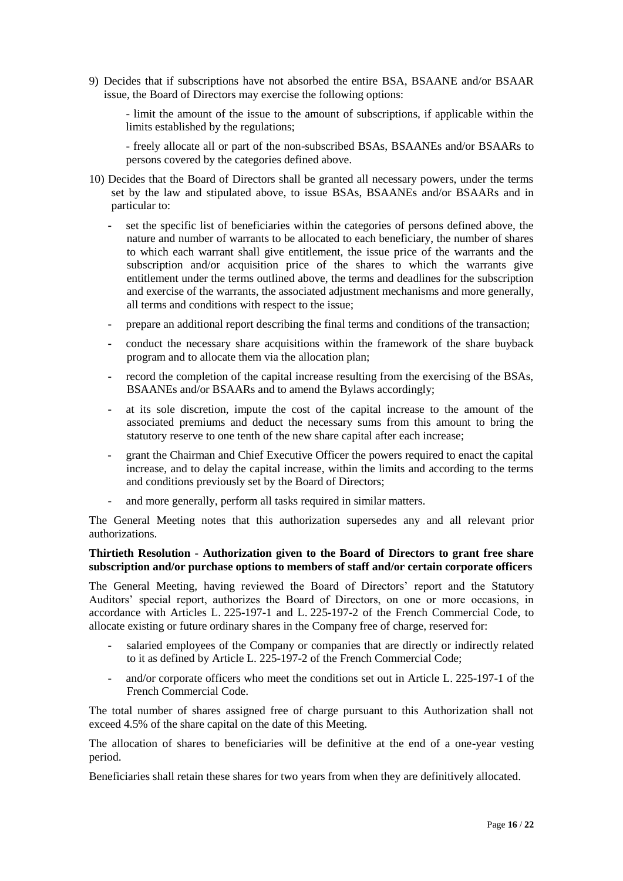9) Decides that if subscriptions have not absorbed the entire BSA, BSAANE and/or BSAAR issue, the Board of Directors may exercise the following options:

- limit the amount of the issue to the amount of subscriptions, if applicable within the limits established by the regulations;

- freely allocate all or part of the non-subscribed BSAs, BSAANEs and/or BSAARs to persons covered by the categories defined above.

- 10) Decides that the Board of Directors shall be granted all necessary powers, under the terms set by the law and stipulated above, to issue BSAs, BSAANEs and/or BSAARs and in particular to:
	- **-** set the specific list of beneficiaries within the categories of persons defined above, the nature and number of warrants to be allocated to each beneficiary, the number of shares to which each warrant shall give entitlement, the issue price of the warrants and the subscription and/or acquisition price of the shares to which the warrants give entitlement under the terms outlined above, the terms and deadlines for the subscription and exercise of the warrants, the associated adjustment mechanisms and more generally, all terms and conditions with respect to the issue;
	- **-** prepare an additional report describing the final terms and conditions of the transaction;
	- **-** conduct the necessary share acquisitions within the framework of the share buyback program and to allocate them via the allocation plan;
	- **-** record the completion of the capital increase resulting from the exercising of the BSAs, BSAANEs and/or BSAARs and to amend the Bylaws accordingly;
	- **-** at its sole discretion, impute the cost of the capital increase to the amount of the associated premiums and deduct the necessary sums from this amount to bring the statutory reserve to one tenth of the new share capital after each increase;
	- **-** grant the Chairman and Chief Executive Officer the powers required to enact the capital increase, and to delay the capital increase, within the limits and according to the terms and conditions previously set by the Board of Directors;
	- **-** and more generally, perform all tasks required in similar matters.

The General Meeting notes that this authorization supersedes any and all relevant prior authorizations.

### **Thirtieth Resolution - Authorization given to the Board of Directors to grant free share subscription and/or purchase options to members of staff and/or certain corporate officers**

The General Meeting, having reviewed the Board of Directors' report and the Statutory Auditors' special report, authorizes the Board of Directors, on one or more occasions, in accordance with Articles L. 225-197-1 and L. 225-197-2 of the French Commercial Code, to allocate existing or future ordinary shares in the Company free of charge, reserved for:

- salaried employees of the Company or companies that are directly or indirectly related to it as defined by Article L. 225-197-2 of the French Commercial Code;
- and/or corporate officers who meet the conditions set out in Article L. 225-197-1 of the French Commercial Code.

The total number of shares assigned free of charge pursuant to this Authorization shall not exceed 4.5% of the share capital on the date of this Meeting.

The allocation of shares to beneficiaries will be definitive at the end of a one-year vesting period.

Beneficiaries shall retain these shares for two years from when they are definitively allocated.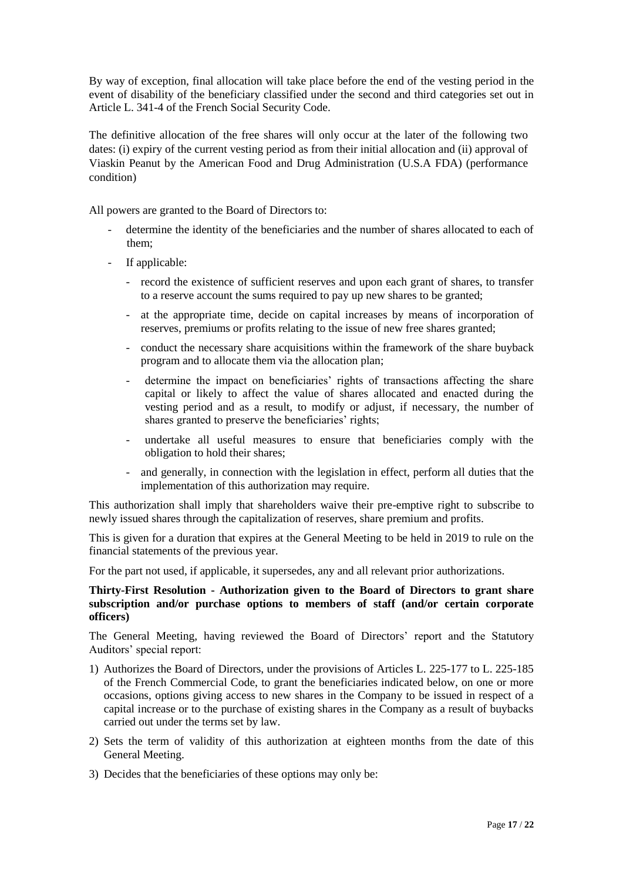By way of exception, final allocation will take place before the end of the vesting period in the event of disability of the beneficiary classified under the second and third categories set out in Article L. 341-4 of the French Social Security Code.

The definitive allocation of the free shares will only occur at the later of the following two dates: (i) expiry of the current vesting period as from their initial allocation and (ii) approval of Viaskin Peanut by the American Food and Drug Administration (U.S.A FDA) (performance condition)

All powers are granted to the Board of Directors to:

- determine the identity of the beneficiaries and the number of shares allocated to each of them;
- If applicable:
	- record the existence of sufficient reserves and upon each grant of shares, to transfer to a reserve account the sums required to pay up new shares to be granted;
	- at the appropriate time, decide on capital increases by means of incorporation of reserves, premiums or profits relating to the issue of new free shares granted;
	- conduct the necessary share acquisitions within the framework of the share buyback program and to allocate them via the allocation plan;
	- determine the impact on beneficiaries' rights of transactions affecting the share capital or likely to affect the value of shares allocated and enacted during the vesting period and as a result, to modify or adjust, if necessary, the number of shares granted to preserve the beneficiaries' rights;
	- undertake all useful measures to ensure that beneficiaries comply with the obligation to hold their shares;
	- and generally, in connection with the legislation in effect, perform all duties that the implementation of this authorization may require.

This authorization shall imply that shareholders waive their pre-emptive right to subscribe to newly issued shares through the capitalization of reserves, share premium and profits.

This is given for a duration that expires at the General Meeting to be held in 2019 to rule on the financial statements of the previous year.

For the part not used, if applicable, it supersedes, any and all relevant prior authorizations.

## **Thirty-First Resolution - Authorization given to the Board of Directors to grant share subscription and/or purchase options to members of staff (and/or certain corporate officers)**

The General Meeting, having reviewed the Board of Directors' report and the Statutory Auditors' special report:

- 1) Authorizes the Board of Directors, under the provisions of Articles L. 225-177 to L. 225-185 of the French Commercial Code, to grant the beneficiaries indicated below, on one or more occasions, options giving access to new shares in the Company to be issued in respect of a capital increase or to the purchase of existing shares in the Company as a result of buybacks carried out under the terms set by law.
- 2) Sets the term of validity of this authorization at eighteen months from the date of this General Meeting.
- 3) Decides that the beneficiaries of these options may only be: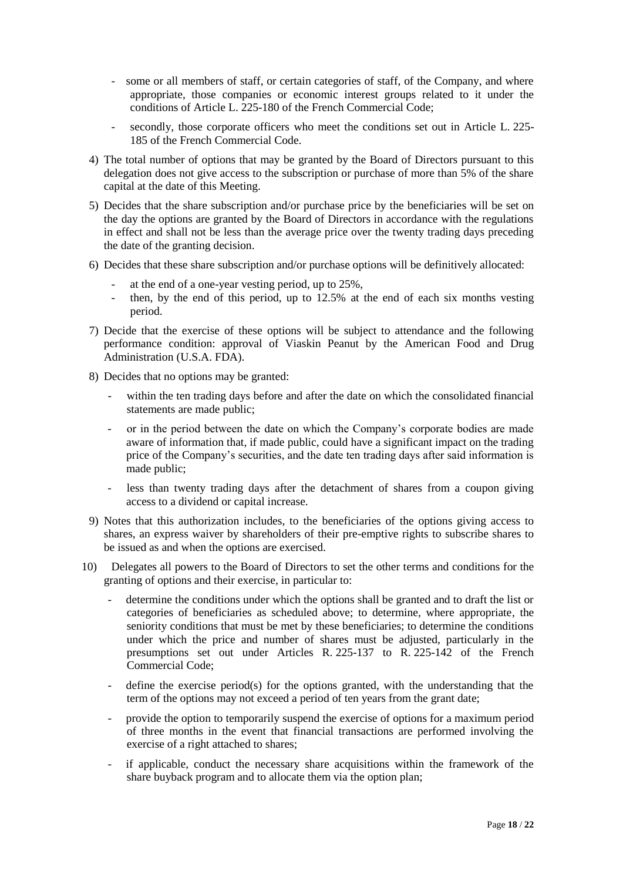- some or all members of staff, or certain categories of staff, of the Company, and where appropriate, those companies or economic interest groups related to it under the conditions of Article L. 225-180 of the French Commercial Code;
- secondly, those corporate officers who meet the conditions set out in Article L. 225-185 of the French Commercial Code.
- 4) The total number of options that may be granted by the Board of Directors pursuant to this delegation does not give access to the subscription or purchase of more than 5% of the share capital at the date of this Meeting.
- 5) Decides that the share subscription and/or purchase price by the beneficiaries will be set on the day the options are granted by the Board of Directors in accordance with the regulations in effect and shall not be less than the average price over the twenty trading days preceding the date of the granting decision.
- 6) Decides that these share subscription and/or purchase options will be definitively allocated:
	- at the end of a one-year vesting period, up to 25%,
	- then, by the end of this period, up to 12.5% at the end of each six months vesting period.
- 7) Decide that the exercise of these options will be subject to attendance and the following performance condition: approval of Viaskin Peanut by the American Food and Drug Administration (U.S.A. FDA).
- 8) Decides that no options may be granted:
	- within the ten trading days before and after the date on which the consolidated financial statements are made public;
	- or in the period between the date on which the Company's corporate bodies are made aware of information that, if made public, could have a significant impact on the trading price of the Company's securities, and the date ten trading days after said information is made public;
	- less than twenty trading days after the detachment of shares from a coupon giving access to a dividend or capital increase.
- 9) Notes that this authorization includes, to the beneficiaries of the options giving access to shares, an express waiver by shareholders of their pre-emptive rights to subscribe shares to be issued as and when the options are exercised.
- 10) Delegates all powers to the Board of Directors to set the other terms and conditions for the granting of options and their exercise, in particular to:
	- determine the conditions under which the options shall be granted and to draft the list or categories of beneficiaries as scheduled above; to determine, where appropriate, the seniority conditions that must be met by these beneficiaries; to determine the conditions under which the price and number of shares must be adjusted, particularly in the presumptions set out under Articles R. 225-137 to R. 225-142 of the French Commercial Code;
	- define the exercise period(s) for the options granted, with the understanding that the term of the options may not exceed a period of ten years from the grant date;
	- provide the option to temporarily suspend the exercise of options for a maximum period of three months in the event that financial transactions are performed involving the exercise of a right attached to shares;
	- if applicable, conduct the necessary share acquisitions within the framework of the share buyback program and to allocate them via the option plan;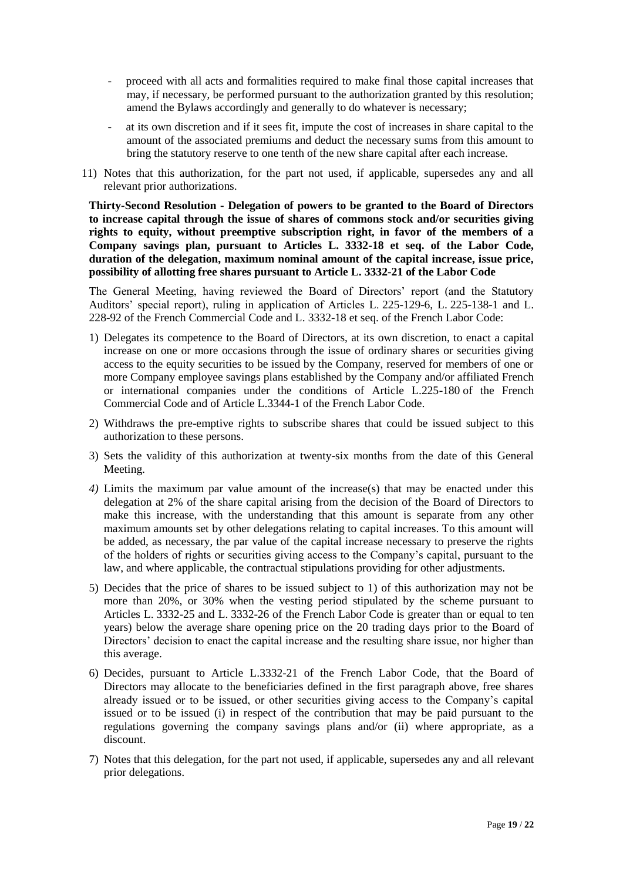- proceed with all acts and formalities required to make final those capital increases that may, if necessary, be performed pursuant to the authorization granted by this resolution; amend the Bylaws accordingly and generally to do whatever is necessary;
- at its own discretion and if it sees fit, impute the cost of increases in share capital to the amount of the associated premiums and deduct the necessary sums from this amount to bring the statutory reserve to one tenth of the new share capital after each increase.
- 11) Notes that this authorization, for the part not used, if applicable, supersedes any and all relevant prior authorizations.

**Thirty-Second Resolution - Delegation of powers to be granted to the Board of Directors to increase capital through the issue of shares of commons stock and/or securities giving rights to equity, without preemptive subscription right, in favor of the members of a Company savings plan, pursuant to Articles L. 3332-18 et seq. of the Labor Code, duration of the delegation, maximum nominal amount of the capital increase, issue price, possibility of allotting free shares pursuant to Article L. 3332-21 of the Labor Code**

The General Meeting, having reviewed the Board of Directors' report (and the Statutory Auditors' special report), ruling in application of Articles L. 225-129-6, L. 225-138-1 and L. 228-92 of the French Commercial Code and L. 3332-18 et seq. of the French Labor Code:

- 1) Delegates its competence to the Board of Directors, at its own discretion, to enact a capital increase on one or more occasions through the issue of ordinary shares or securities giving access to the equity securities to be issued by the Company, reserved for members of one or more Company employee savings plans established by the Company and/or affiliated French or international companies under the conditions of Article L.225-180 of the French Commercial Code and of Article L.3344-1 of the French Labor Code.
- 2) Withdraws the pre-emptive rights to subscribe shares that could be issued subject to this authorization to these persons.
- 3) Sets the validity of this authorization at twenty-six months from the date of this General Meeting.
- *4)* Limits the maximum par value amount of the increase(s) that may be enacted under this delegation at 2% of the share capital arising from the decision of the Board of Directors to make this increase, with the understanding that this amount is separate from any other maximum amounts set by other delegations relating to capital increases. To this amount will be added, as necessary, the par value of the capital increase necessary to preserve the rights of the holders of rights or securities giving access to the Company's capital, pursuant to the law, and where applicable, the contractual stipulations providing for other adjustments.
- 5) Decides that the price of shares to be issued subject to 1) of this authorization may not be more than 20%, or 30% when the vesting period stipulated by the scheme pursuant to Articles L. 3332-25 and L. 3332-26 of the French Labor Code is greater than or equal to ten years) below the average share opening price on the 20 trading days prior to the Board of Directors' decision to enact the capital increase and the resulting share issue, nor higher than this average.
- 6) Decides, pursuant to Article L.3332-21 of the French Labor Code, that the Board of Directors may allocate to the beneficiaries defined in the first paragraph above, free shares already issued or to be issued, or other securities giving access to the Company's capital issued or to be issued (i) in respect of the contribution that may be paid pursuant to the regulations governing the company savings plans and/or (ii) where appropriate, as a discount.
- 7) Notes that this delegation, for the part not used, if applicable, supersedes any and all relevant prior delegations.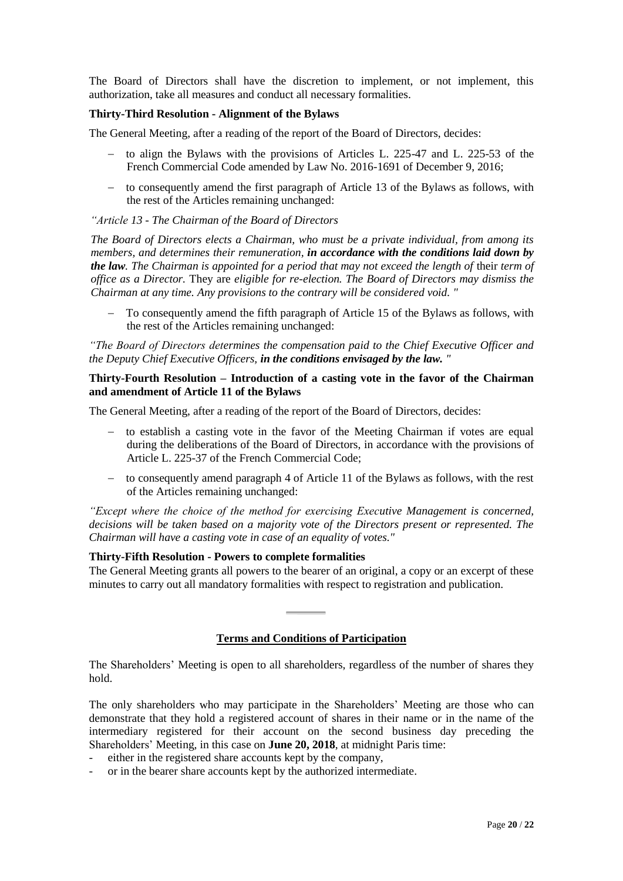The Board of Directors shall have the discretion to implement, or not implement, this authorization, take all measures and conduct all necessary formalities.

## **Thirty-Third Resolution - Alignment of the Bylaws**

The General Meeting, after a reading of the report of the Board of Directors, decides:

- to align the Bylaws with the provisions of Articles L. 225-47 and L. 225-53 of the French Commercial Code amended by Law No. 2016-1691 of December 9, 2016;
- to consequently amend the first paragraph of Article 13 of the Bylaws as follows, with the rest of the Articles remaining unchanged:

## *"Article 13 - The Chairman of the Board of Directors*

*The Board of Directors elects a Chairman, who must be a private individual, from among its members, and determines their remuneration, in accordance with the conditions laid down by the law. The Chairman is appointed for a period that may not exceed the length of their term of office as a Director.* They are *eligible for re-election. The Board of Directors may dismiss the Chairman at any time. Any provisions to the contrary will be considered void. "*

 To consequently amend the fifth paragraph of Article 15 of the Bylaws as follows, with the rest of the Articles remaining unchanged:

*"The Board of Directors determines the compensation paid to the Chief Executive Officer and the Deputy Chief Executive Officers, in the conditions envisaged by the law. "*

## **Thirty-Fourth Resolution – Introduction of a casting vote in the favor of the Chairman and amendment of Article 11 of the Bylaws**

The General Meeting, after a reading of the report of the Board of Directors, decides:

- to establish a casting vote in the favor of the Meeting Chairman if votes are equal during the deliberations of the Board of Directors, in accordance with the provisions of Article L. 225-37 of the French Commercial Code;
- $\sim$  to consequently amend paragraph 4 of Article 11 of the Bylaws as follows, with the rest of the Articles remaining unchanged:

*"Except where the choice of the method for exercising Executive Management is concerned, decisions will be taken based on a majority vote of the Directors present or represented. The Chairman will have a casting vote in case of an equality of votes."*

### **Thirty-Fifth Resolution - Powers to complete formalities**

The General Meeting grants all powers to the bearer of an original, a copy or an excerpt of these minutes to carry out all mandatory formalities with respect to registration and publication.

# **Terms and Conditions of Participation**

The Shareholders' Meeting is open to all shareholders, regardless of the number of shares they hold.

The only shareholders who may participate in the Shareholders' Meeting are those who can demonstrate that they hold a registered account of shares in their name or in the name of the intermediary registered for their account on the second business day preceding the Shareholders' Meeting, in this case on **June 20, 2018**, at midnight Paris time:

- either in the registered share accounts kept by the company,
- or in the bearer share accounts kept by the authorized intermediate.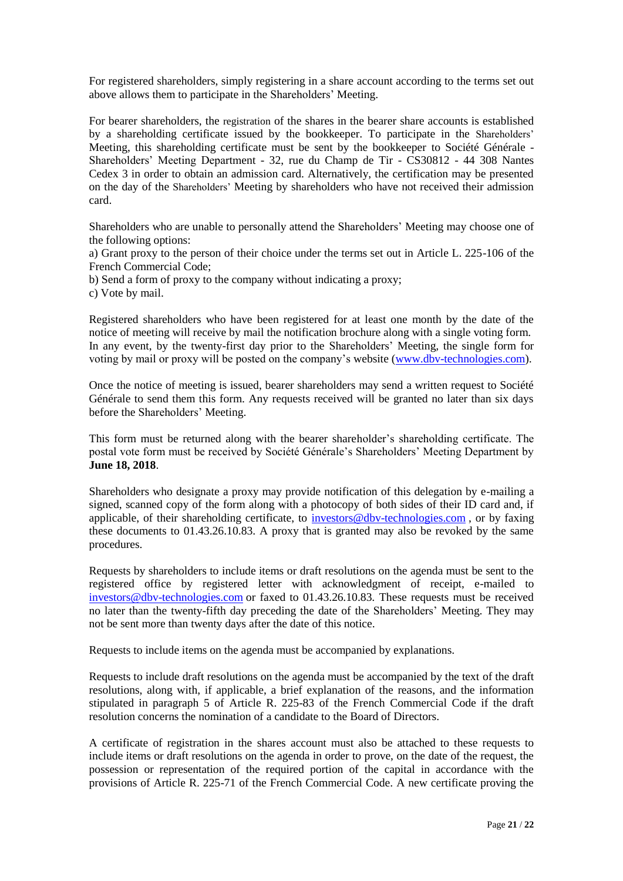For registered shareholders, simply registering in a share account according to the terms set out above allows them to participate in the Shareholders' Meeting.

For bearer shareholders, the registration of the shares in the bearer share accounts is established by a shareholding certificate issued by the bookkeeper. To participate in the Shareholders' Meeting, this shareholding certificate must be sent by the bookkeeper to Société Générale - Shareholders' Meeting Department - 32, rue du Champ de Tir - CS30812 - 44 308 Nantes Cedex 3 in order to obtain an admission card. Alternatively, the certification may be presented on the day of the Shareholders' Meeting by shareholders who have not received their admission card.

Shareholders who are unable to personally attend the Shareholders' Meeting may choose one of the following options:

a) Grant proxy to the person of their choice under the terms set out in Article L. 225-106 of the French Commercial Code;

b) Send a form of proxy to the company without indicating a proxy;

c) Vote by mail.

Registered shareholders who have been registered for at least one month by the date of the notice of meeting will receive by mail the notification brochure along with a single voting form. In any event, by the twenty-first day prior to the Shareholders' Meeting*,* the single form for voting by mail or proxy will be posted on the company's website [\(www.dbv-technologies.com\)](http://www.dbv-technologies.com/).

Once the notice of meeting is issued, bearer shareholders may send a written request to Société Générale to send them this form. Any requests received will be granted no later than six days before the Shareholders' Meeting.

This form must be returned along with the bearer shareholder's shareholding certificate. The postal vote form must be received by Société Générale's Shareholders' Meeting Department by **June 18, 2018**.

Shareholders who designate a proxy may provide notification of this delegation by e-mailing a signed, scanned copy of the form along with a photocopy of both sides of their ID card and, if applicable, of their shareholding certificate, to [investors@dbv-technologies.com](http://mailto:investors@dbv-technologies.com/) , or by faxing these documents to 01.43.26.10.83. A proxy that is granted may also be revoked by the same procedures.

Requests by shareholders to include items or draft resolutions on the agenda must be sent to the registered office by registered letter with acknowledgment of receipt, e-mailed to [investors@dbv-technologies.com](http://mailto:investors@dbv-technologies.com/) or faxed to 01.43.26.10.83*.* These requests must be received no later than the twenty-fifth day preceding the date of the Shareholders' Meeting. They may not be sent more than twenty days after the date of this notice.

Requests to include items on the agenda must be accompanied by explanations.

Requests to include draft resolutions on the agenda must be accompanied by the text of the draft resolutions, along with, if applicable, a brief explanation of the reasons, and the information stipulated in paragraph 5 of [Article R. 225-83](http://www.legifrance.gouv.fr/affichCodeArticle.do;jsessionid=558836EFDA7408B166E2D3E9A3FC2B02.tpdjo03v_3?cidTexte=LEGITEXT000005634379&idArticle=LEGIARTI000006261121&dateTexte=&categorieLien=cid) of the French Commercial Code if the draft resolution concerns the nomination of a candidate to the Board of Directors.

A certificate of registration in the shares account must also be attached to these requests to include items or draft resolutions on the agenda in order to prove, on the date of the request, the possession or representation of the required portion of the capital in accordance with the provisions of Article R. 225-71 of the French Commercial Code. A new certificate proving the